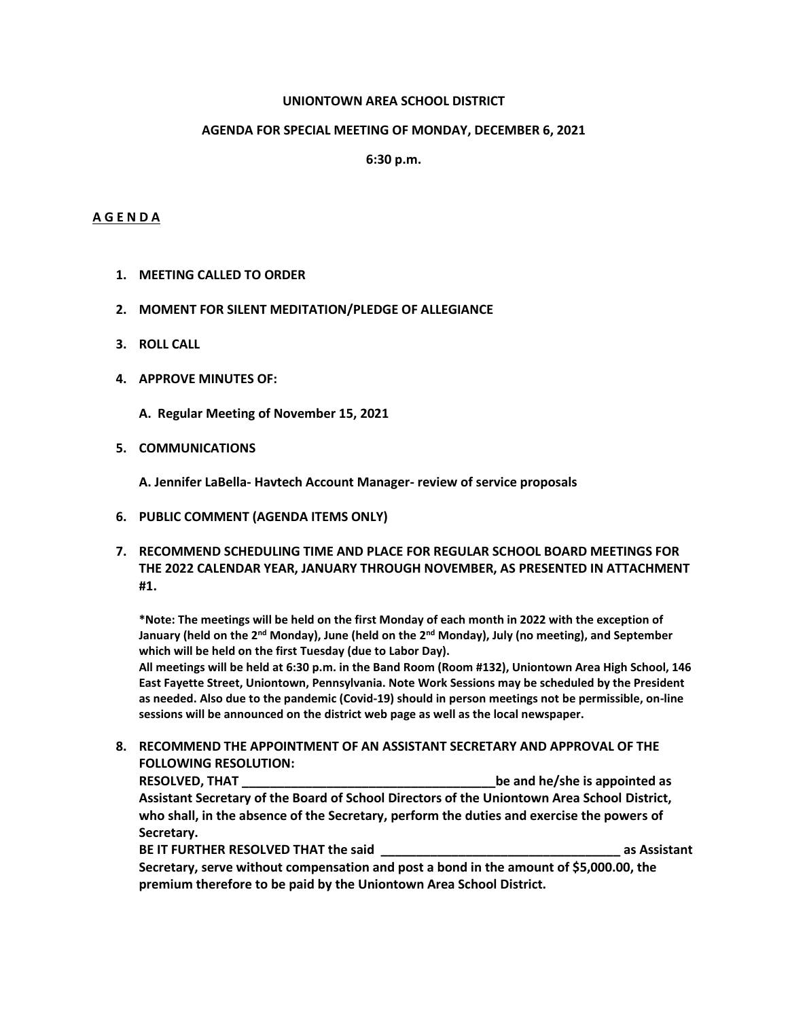### **UNIONTOWN AREA SCHOOL DISTRICT**

### **AGENDA FOR SPECIAL MEETING OF MONDAY, DECEMBER 6, 2021**

**6:30 p.m.**

### **A G E N D A**

- **1. MEETING CALLED TO ORDER**
- **2. MOMENT FOR SILENT MEDITATION/PLEDGE OF ALLEGIANCE**
- **3. ROLL CALL**
- **4. APPROVE MINUTES OF:**
	- **A. Regular Meeting of November 15, 2021**
- **5. COMMUNICATIONS**

**A. Jennifer LaBella- Havtech Account Manager- review of service proposals**

- **6. PUBLIC COMMENT (AGENDA ITEMS ONLY)**
- **7. RECOMMEND SCHEDULING TIME AND PLACE FOR REGULAR SCHOOL BOARD MEETINGS FOR THE 2022 CALENDAR YEAR, JANUARY THROUGH NOVEMBER, AS PRESENTED IN ATTACHMENT #1.**

**\*Note: The meetings will be held on the first Monday of each month in 2022 with the exception of January (held on the 2nd Monday), June (held on the 2nd Monday), July (no meeting), and September which will be held on the first Tuesday (due to Labor Day).**

**All meetings will be held at 6:30 p.m. in the Band Room (Room #132), Uniontown Area High School, 146 East Fayette Street, Uniontown, Pennsylvania. Note Work Sessions may be scheduled by the President as needed. Also due to the pandemic (Covid-19) should in person meetings not be permissible, on-line sessions will be announced on the district web page as well as the local newspaper.** 

**8. RECOMMEND THE APPOINTMENT OF AN ASSISTANT SECRETARY AND APPROVAL OF THE FOLLOWING RESOLUTION:**

**RESOLVED, THAT \_\_\_\_\_\_\_\_\_\_\_\_\_\_\_\_\_\_\_\_\_\_\_\_\_\_\_\_\_\_\_\_\_\_\_\_be and he/she is appointed as Assistant Secretary of the Board of School Directors of the Uniontown Area School District, who shall, in the absence of the Secretary, perform the duties and exercise the powers of Secretary.** 

**BE IT FURTHER RESOLVED THAT the said as Assistant as Assistant Secretary, serve without compensation and post a bond in the amount of \$5,000.00, the premium therefore to be paid by the Uniontown Area School District.**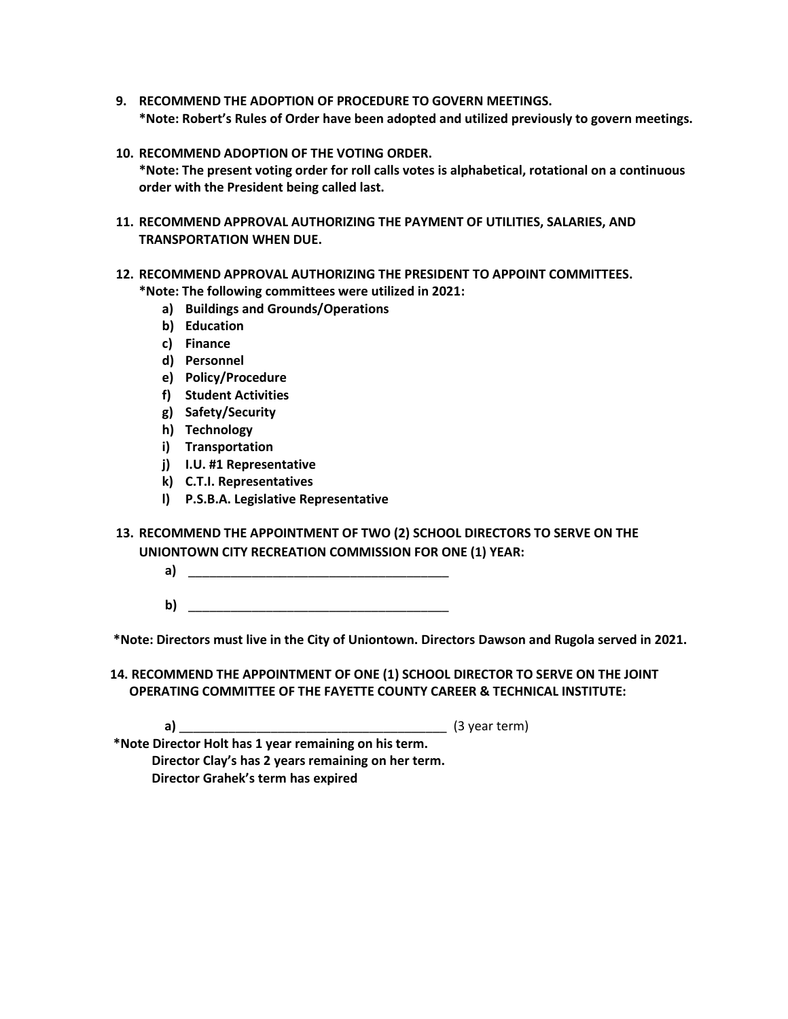- **9. RECOMMEND THE ADOPTION OF PROCEDURE TO GOVERN MEETINGS. \*Note: Robert's Rules of Order have been adopted and utilized previously to govern meetings.**
- **10. RECOMMEND ADOPTION OF THE VOTING ORDER. \*Note: The present voting order for roll calls votes is alphabetical, rotational on a continuous order with the President being called last.**
- **11. RECOMMEND APPROVAL AUTHORIZING THE PAYMENT OF UTILITIES, SALARIES, AND TRANSPORTATION WHEN DUE.**
- **12. RECOMMEND APPROVAL AUTHORIZING THE PRESIDENT TO APPOINT COMMITTEES.**
	- **\*Note: The following committees were utilized in 2021:**
		- **a) Buildings and Grounds/Operations**
		- **b) Education**
		- **c) Finance**
		- **d) Personnel**
		- **e) Policy/Procedure**
		- **f) Student Activities**
		- **g) Safety/Security**
		- **h) Technology**
		- **i) Transportation**
		- **j) I.U. #1 Representative**
		- **k) C.T.I. Representatives**
		- **l) P.S.B.A. Legislative Representative**
- **13. RECOMMEND THE APPOINTMENT OF TWO (2) SCHOOL DIRECTORS TO SERVE ON THE UNIONTOWN CITY RECREATION COMMISSION FOR ONE (1) YEAR:**
	- **a)** \_\_\_\_\_\_\_\_\_\_\_\_\_\_\_\_\_\_\_\_\_\_\_\_\_\_\_\_\_\_\_\_\_\_\_\_\_
	- **b**)

**\*Note: Directors must live in the City of Uniontown. Directors Dawson and Rugola served in 2021.**

**14. RECOMMEND THE APPOINTMENT OF ONE (1) SCHOOL DIRECTOR TO SERVE ON THE JOINT OPERATING COMMITTEE OF THE FAYETTE COUNTY CAREER & TECHNICAL INSTITUTE:**

**a)** \_\_\_\_\_\_\_\_\_\_\_\_\_\_\_\_\_\_\_\_\_\_\_\_\_\_\_\_\_\_\_\_\_\_\_\_\_\_ (3 year term)

**\*Note Director Holt has 1 year remaining on his term. Director Clay's has 2 years remaining on her term. Director Grahek's term has expired**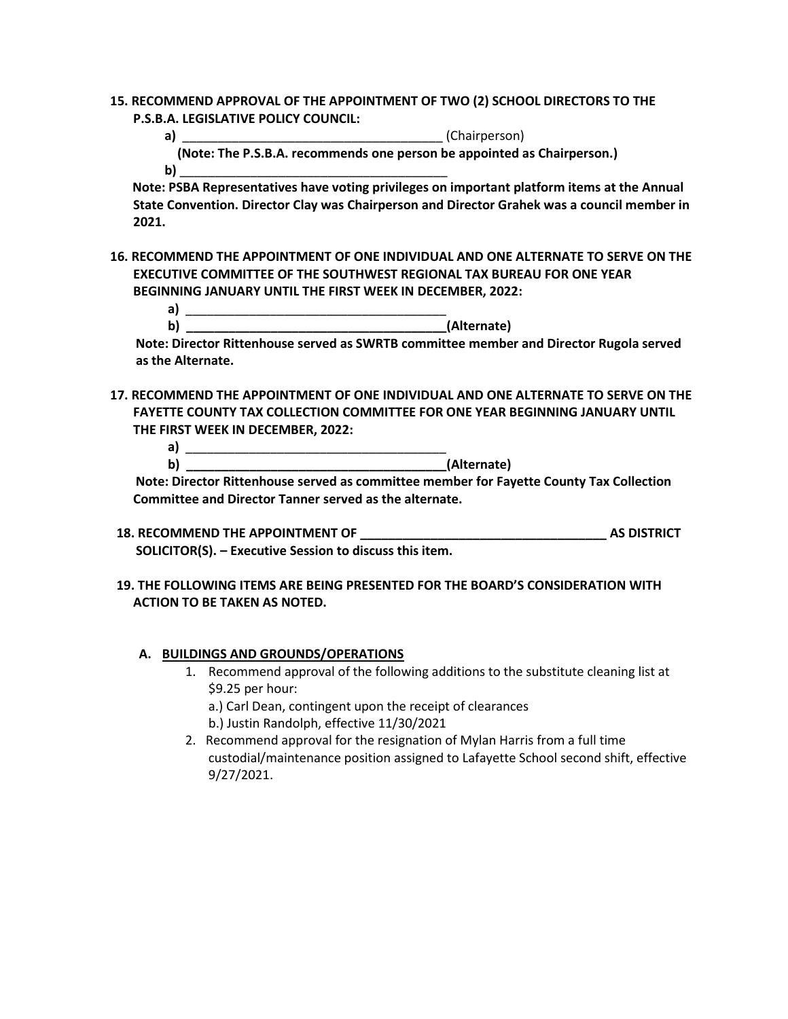- **15. RECOMMEND APPROVAL OF THE APPOINTMENT OF TWO (2) SCHOOL DIRECTORS TO THE P.S.B.A. LEGISLATIVE POLICY COUNCIL:**
- **a)** \_\_\_\_\_\_\_\_\_\_\_\_\_\_\_\_\_\_\_\_\_\_\_\_\_\_\_\_\_\_\_\_\_\_\_\_\_ (Chairperson)  **(Note: The P.S.B.A. recommends one person be appointed as Chairperson.) b)** \_\_\_\_\_\_\_\_\_\_\_\_\_\_\_\_\_\_\_\_\_\_\_\_\_\_\_\_\_\_\_\_\_\_\_\_\_\_

 **Note: PSBA Representatives have voting privileges on important platform items at the Annual State Convention. Director Clay was Chairperson and Director Grahek was a council member in 2021.**

**16. RECOMMEND THE APPOINTMENT OF ONE INDIVIDUAL AND ONE ALTERNATE TO SERVE ON THE EXECUTIVE COMMITTEE OF THE SOUTHWEST REGIONAL TAX BUREAU FOR ONE YEAR BEGINNING JANUARY UNTIL THE FIRST WEEK IN DECEMBER, 2022:**

| w | I Alteri<br>ופזבח<br>. . <b>.</b> |
|---|-----------------------------------|

 **Note: Director Rittenhouse served as SWRTB committee member and Director Rugola served as the Alternate.**

**17. RECOMMEND THE APPOINTMENT OF ONE INDIVIDUAL AND ONE ALTERNATE TO SERVE ON THE FAYETTE COUNTY TAX COLLECTION COMMITTEE FOR ONE YEAR BEGINNING JANUARY UNTIL THE FIRST WEEK IN DECEMBER, 2022:**

 **a)** \_\_\_\_\_\_\_\_\_\_\_\_\_\_\_\_\_\_\_\_\_\_\_\_\_\_\_\_\_\_\_\_\_\_\_\_\_ **b**) (Alternate)

 **Note: Director Rittenhouse served as committee member for Fayette County Tax Collection Committee and Director Tanner served as the alternate.**

- **18. RECOMMEND THE APPOINTMENT OF \_\_\_\_\_\_\_\_\_\_\_\_\_\_\_\_\_\_\_\_\_\_\_\_\_\_\_\_\_\_\_\_\_\_\_ AS DISTRICT SOLICITOR(S). – Executive Session to discuss this item.**
- **19. THE FOLLOWING ITEMS ARE BEING PRESENTED FOR THE BOARD'S CONSIDERATION WITH ACTION TO BE TAKEN AS NOTED.**

### **A. BUILDINGS AND GROUNDS/OPERATIONS**

1. Recommend approval of the following additions to the substitute cleaning list at \$9.25 per hour:

a.) Carl Dean, contingent upon the receipt of clearances

- b.) Justin Randolph, effective 11/30/2021
- 2. Recommend approval for the resignation of Mylan Harris from a full time custodial/maintenance position assigned to Lafayette School second shift, effective 9/27/2021.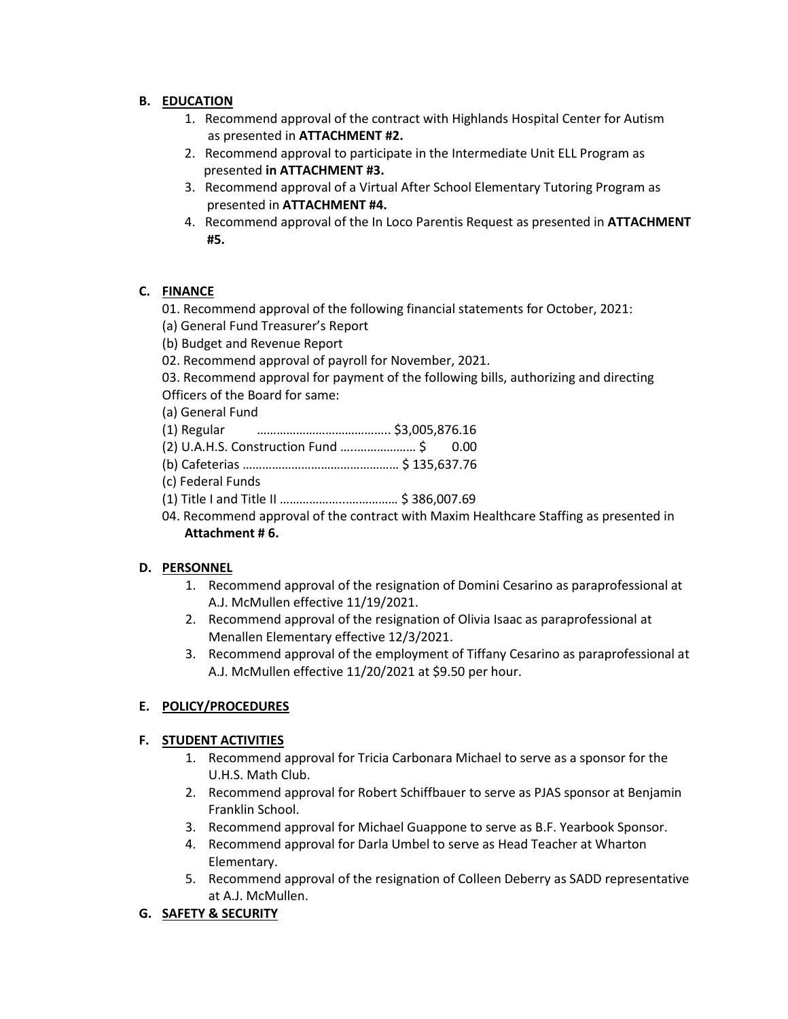## **B. EDUCATION**

- 1. Recommend approval of the contract with Highlands Hospital Center for Autism as presented in **ATTACHMENT #2.**
- 2. Recommend approval to participate in the Intermediate Unit ELL Program as presented **in ATTACHMENT #3.**
- 3. Recommend approval of a Virtual After School Elementary Tutoring Program as presented in **ATTACHMENT #4.**
- 4. Recommend approval of the In Loco Parentis Request as presented in **ATTACHMENT #5.**

## **C. FINANCE**

- 01. Recommend approval of the following financial statements for October, 2021:
- (a) General Fund Treasurer's Report
- (b) Budget and Revenue Report
- 02. Recommend approval of payroll for November, 2021.

03. Recommend approval for payment of the following bills, authorizing and directing Officers of the Board for same:

- (a) General Fund
- (1) Regular ………………………………….. \$3,005,876.16
- (2) U.A.H.S. Construction Fund …..……………… \$ 0.00
- (b) Cafeterias ………………………………………… \$ 135,637.76
- (c) Federal Funds
- (1) Title I and Title II ………………...…………… \$ 386,007.69
- 04. Recommend approval of the contract with Maxim Healthcare Staffing as presented in  **Attachment # 6.**

## **D. PERSONNEL**

- 1. Recommend approval of the resignation of Domini Cesarino as paraprofessional at A.J. McMullen effective 11/19/2021.
- 2. Recommend approval of the resignation of Olivia Isaac as paraprofessional at Menallen Elementary effective 12/3/2021.
- 3. Recommend approval of the employment of Tiffany Cesarino as paraprofessional at A.J. McMullen effective 11/20/2021 at \$9.50 per hour.

# **E. POLICY/PROCEDURES**

## **F. STUDENT ACTIVITIES**

- 1. Recommend approval for Tricia Carbonara Michael to serve as a sponsor for the U.H.S. Math Club.
- 2. Recommend approval for Robert Schiffbauer to serve as PJAS sponsor at Benjamin Franklin School.
- 3. Recommend approval for Michael Guappone to serve as B.F. Yearbook Sponsor.
- 4. Recommend approval for Darla Umbel to serve as Head Teacher at Wharton Elementary.
- 5. Recommend approval of the resignation of Colleen Deberry as SADD representative at A.J. McMullen.

# **G. SAFETY & SECURITY**